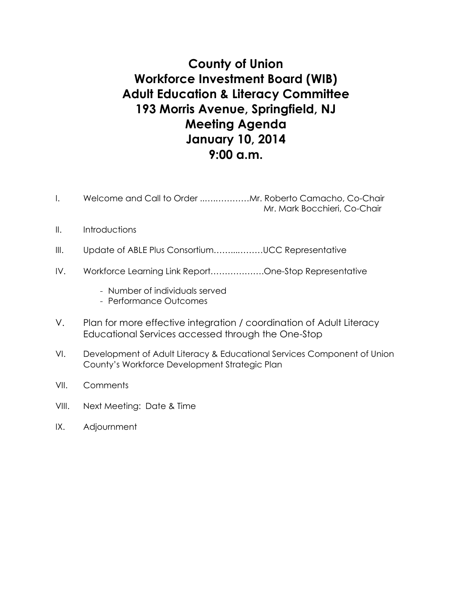# **County of Union Workforce Investment Board (WIB) Adult Education & Literacy Committee 193 Morris Avenue, Springfield, NJ Meeting Agenda January 10, 2014 9:00 a.m.**

- I. Welcome and Call to Order ..….…………Mr. Roberto Camacho, Co-Chair Mr. Mark Bocchieri, Co-Chair
- II. Introductions
- III. Update of ABLE Plus Consortium.................UCC Representative
- IV. Workforce Learning Link Report……………….One-Stop Representative
	- Number of individuals served
	- Performance Outcomes
- V. Plan for more effective integration / coordination of Adult Literacy Educational Services accessed through the One-Stop
- VI. Development of Adult Literacy & Educational Services Component of Union County's Workforce Development Strategic Plan
- VII. Comments
- VIII. Next Meeting: Date & Time
- IX. Adjournment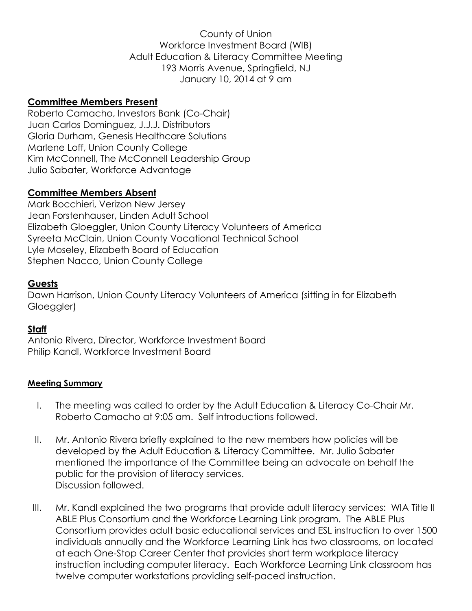County of Union Workforce Investment Board (WIB) Adult Education & Literacy Committee Meeting 193 Morris Avenue, Springfield, NJ January 10, 2014 at 9 am

## **Committee Members Present**

Roberto Camacho, Investors Bank (Co-Chair) Juan Carlos Dominguez, J.J.J. Distributors Gloria Durham, Genesis Healthcare Solutions Marlene Loff, Union County College Kim McConnell, The McConnell Leadership Group Julio Sabater, Workforce Advantage

## **Committee Members Absent**

Mark Bocchieri, Verizon New Jersey Jean Forstenhauser, Linden Adult School Elizabeth Gloeggler, Union County Literacy Volunteers of America Syreeta McClain, Union County Vocational Technical School Lyle Moseley, Elizabeth Board of Education Stephen Nacco, Union County College

### **Guests**

Dawn Harrison, Union County Literacy Volunteers of America (sitting in for Elizabeth Gloeggler)

### **Staff**

Antonio Rivera, Director, Workforce Investment Board Philip Kandl, Workforce Investment Board

#### **Meeting Summary**

- I. The meeting was called to order by the Adult Education & Literacy Co-Chair Mr. Roberto Camacho at 9:05 am. Self introductions followed.
- II. Mr. Antonio Rivera briefly explained to the new members how policies will be developed by the Adult Education & Literacy Committee. Mr. Julio Sabater mentioned the importance of the Committee being an advocate on behalf the public for the provision of literacy services. Discussion followed.
- III. Mr. Kandl explained the two programs that provide adult literacy services: WIA Title II ABLE Plus Consortium and the Workforce Learning Link program. The ABLE Plus Consortium provides adult basic educational services and ESL instruction to over 1500 individuals annually and the Workforce Learning Link has two classrooms, on located at each One-Stop Career Center that provides short term workplace literacy instruction including computer literacy. Each Workforce Learning Link classroom has twelve computer workstations providing self-paced instruction.